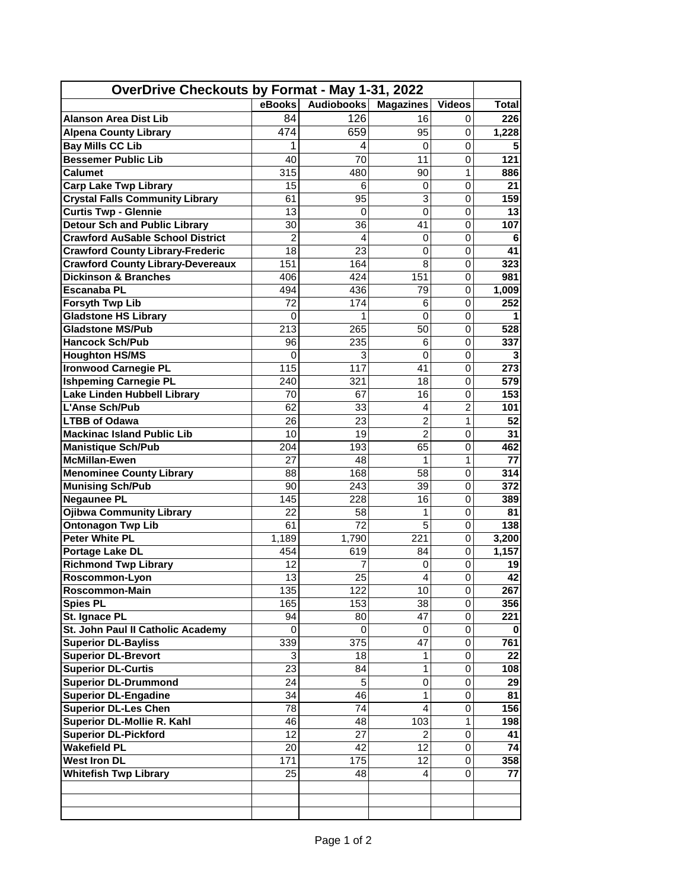| OverDrive Checkouts by Format - May 1-31, 2022       |                |                   |                  |                |                         |
|------------------------------------------------------|----------------|-------------------|------------------|----------------|-------------------------|
|                                                      | eBooks         | <b>Audiobooks</b> | <b>Magazines</b> | <b>Videos</b>  | <b>Total</b>            |
| <b>Alanson Area Dist Lib</b>                         | 84             | 126               | 16               | $\mathbf 0$    | 226                     |
| <b>Alpena County Library</b>                         | 474            | 659               | 95               | $\mathbf 0$    | 1,228                   |
| <b>Bay Mills CC Lib</b>                              |                | 4                 | $\mathbf 0$      | 0              | 5                       |
| <b>Bessemer Public Lib</b>                           | 40             | 70                | 11               | $\mathbf 0$    | 121                     |
| Calumet                                              | 315            | 480               | 90               | $\mathbf{1}$   | 886                     |
| <b>Carp Lake Twp Library</b>                         | 15             | 6                 | $\mathbf 0$      | $\mathbf 0$    | 21                      |
| <b>Crystal Falls Community Library</b>               | 61             | 95                | 3                | $\Omega$       | 159                     |
| <b>Curtis Twp - Glennie</b>                          | 13             | 0                 | 0                | $\mathbf 0$    | 13                      |
| <b>Detour Sch and Public Library</b>                 | 30             | 36                | 41               | $\mathbf 0$    | 107                     |
| <b>Crawford AuSable School District</b>              | $\overline{2}$ | 4                 | 0                | $\mathbf 0$    | 6                       |
| <b>Crawford County Library-Frederic</b>              | 18             | 23                | 0                | $\mathbf 0$    | 41                      |
| <b>Crawford County Library-Devereaux</b>             | 151            | 164               | 8                | 0              | 323                     |
| <b>Dickinson &amp; Branches</b>                      | 406            | 424               | 151              | 0              | 981                     |
| <b>Escanaba PL</b>                                   | 494            | 436               | 79               | 0              | 1,009                   |
| <b>Forsyth Twp Lib</b>                               | 72             | 174               | 6                | $\mathbf 0$    | 252                     |
| <b>Gladstone HS Library</b>                          | 0              | 1                 | $\mathbf 0$      | $\mathbf 0$    | 1                       |
| <b>Gladstone MS/Pub</b>                              | 213            | 265               | 50               | $\mathbf 0$    | 528                     |
| <b>Hancock Sch/Pub</b>                               | 96             | 235               | 6                | $\mathbf 0$    | 337                     |
|                                                      | 0              | 3                 | $\mathbf 0$      | $\mathbf 0$    | 3                       |
| <b>Houghton HS/MS</b><br><b>Ironwood Carnegie PL</b> | 115            | 117               | 41               | $\mathbf 0$    | 273                     |
|                                                      |                |                   |                  |                |                         |
| <b>Ishpeming Carnegie PL</b>                         | 240            | 321               | 18               | $\mathbf 0$    | 579<br>$\overline{153}$ |
| Lake Linden Hubbell Library                          | 70             | 67                | 16               | $\mathbf 0$    |                         |
| L'Anse Sch/Pub                                       | 62             | 33                | 4                | $\overline{2}$ | 101                     |
| <b>LTBB of Odawa</b>                                 | 26             | 23                | $\overline{2}$   | 1              | 52                      |
| <b>Mackinac Island Public Lib</b>                    | 10             | 19                | $\overline{2}$   | $\mathbf 0$    | 31                      |
| <b>Manistique Sch/Pub</b>                            | 204            | 193               | 65               | $\mathbf 0$    | 462                     |
| <b>McMillan-Ewen</b>                                 | 27             | 48                | 1                | 1              | 77                      |
| <b>Menominee County Library</b>                      | 88             | 168               | 58               | $\mathbf 0$    | 314                     |
| <b>Munising Sch/Pub</b>                              | 90             | 243               | 39               | 0              | 372                     |
| <b>Negaunee PL</b>                                   | 145            | 228               | 16               | 0              | 389                     |
| <b>Ojibwa Community Library</b>                      | 22             | 58                | 1                | $\mathbf 0$    | 81                      |
| <b>Ontonagon Twp Lib</b>                             | 61             | 72                | 5                | 0              | 138                     |
| <b>Peter White PL</b>                                | 1,189          | 1,790             | 221              | $\mathbf 0$    | 3,200                   |
| Portage Lake DL                                      | 454            | 619               | 84               | $\mathsf 0$    | 1,157                   |
| <b>Richmond Twp Library</b>                          | 12             |                   | 0                | $\mathbf 0$    | 19                      |
| Roscommon-Lyon                                       | 13             | 25                | $\overline{4}$   | 0              | 42                      |
| Roscommon-Main                                       | 135            | 122               | 10               | 0              | 267                     |
| <b>Spies PL</b>                                      | 165            | 153               | 38               | $\mathbf 0$    | 356                     |
| St. Ignace PL                                        | 94             | 80                | 47               | $\mathbf 0$    | 221                     |
| St. John Paul II Catholic Academy                    | $\Omega$       | 0                 | $\mathbf{0}$     | $\mathbf 0$    | 0                       |
| <b>Superior DL-Bayliss</b>                           | 339            | 375               | 47               | $\mathbf 0$    | 761                     |
| <b>Superior DL-Brevort</b>                           | 3              | 18                | $\mathbf{1}$     | $\overline{0}$ | 22                      |
| <b>Superior DL-Curtis</b>                            | 23             | 84                | $\mathbf{1}$     | $\mathbf 0$    | 108                     |
| <b>Superior DL-Drummond</b>                          | 24             | 5                 | 0                | 0              | 29                      |
| <b>Superior DL-Engadine</b>                          | 34             | 46                | 1                | 0              | 81                      |
| <b>Superior DL-Les Chen</b>                          | 78             | 74                | 4                | 0              | 156                     |
| <b>Superior DL-Mollie R. Kahl</b>                    | 46             | 48                | 103              | 1              | 198                     |
| Superior DL-Pickford                                 | 12             | 27                | $\overline{c}$   | 0              | 41                      |
| <b>Wakefield PL</b>                                  | 20             | 42                | 12               | 0              | 74                      |
| <b>West Iron DL</b>                                  | 171            | 175               | 12               | 0              | 358                     |
| <b>Whitefish Twp Library</b>                         | 25             | 48                | $\overline{4}$   | $\mathbf 0$    | 77                      |
|                                                      |                |                   |                  |                |                         |
|                                                      |                |                   |                  |                |                         |
|                                                      |                |                   |                  |                |                         |